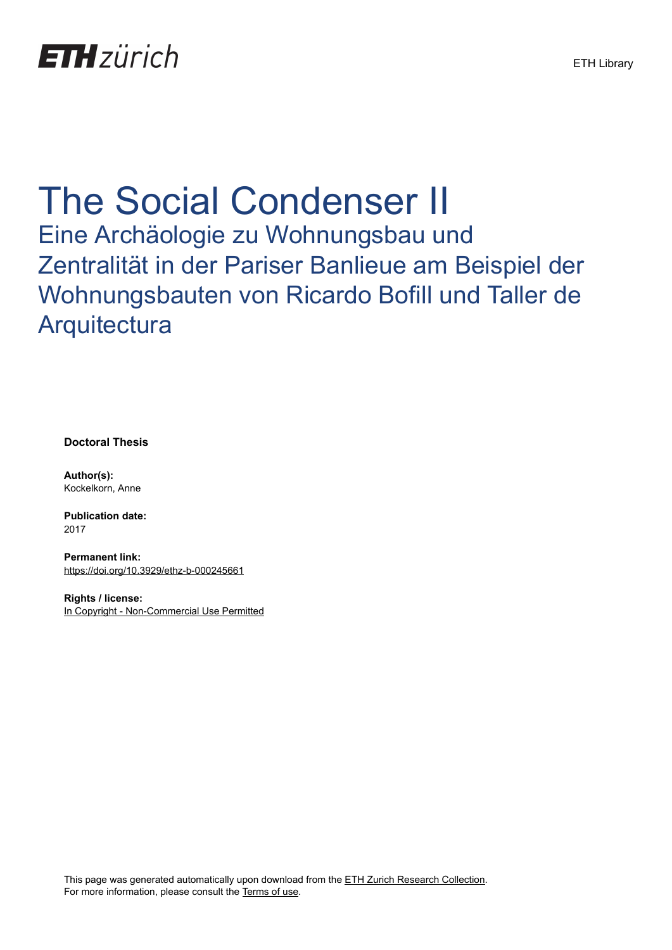

# The Social Condenser II

Eine Archäologie zu Wohnungsbau und Zentralität in der Pariser Banlieue am Beispiel der Wohnungsbauten von Ricardo Bofill und Taller de **Arquitectura** 

**Doctoral Thesis**

**Author(s):** Kockelkorn, Anne

**Publication date:** 2017

**Permanent link:** <https://doi.org/10.3929/ethz-b-000245661>

**Rights / license:** [In Copyright - Non-Commercial Use Permitted](http://rightsstatements.org/page/InC-NC/1.0/)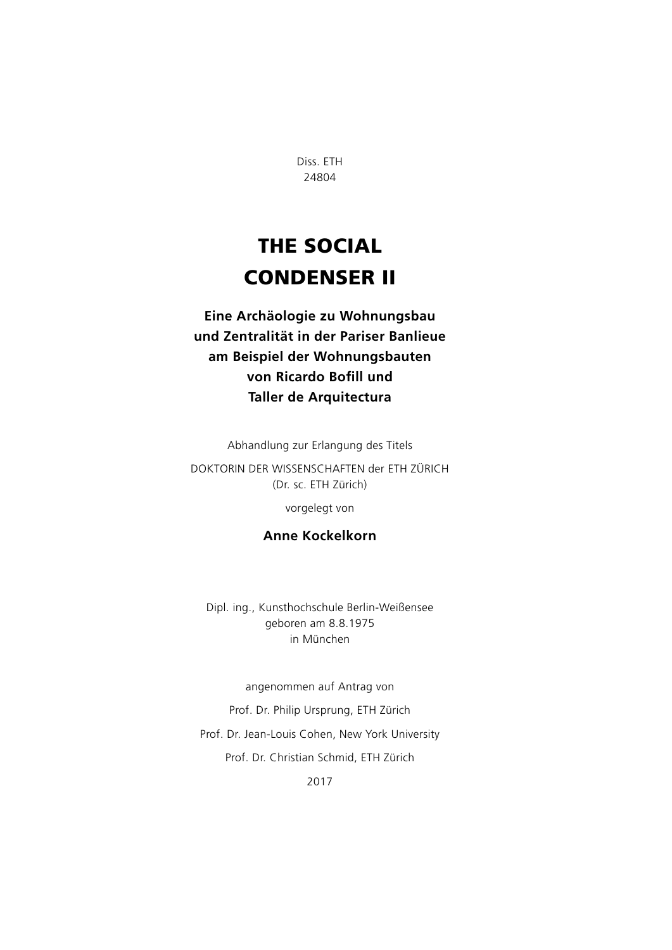Diss. ETH 24804

## The Social Condenser II

**Eine Archäologie zu Wohnungsbau und Zentralität in der Pariser Banlieue am Beispiel der Wohnungsbauten von Ricardo Bofill und Taller de Arquitectura**

Abhandlung zur Erlangung des Titels

DOKTORIN DER WISSENSCHAFTEN der ETH ZÜRICH (Dr. sc. ETH Zürich)

vorgelegt von

#### **Anne Kockelkorn**

Dipl. ing., Kunsthochschule Berlin-Weißensee geboren am 8.8.1975 in München

angenommen auf Antrag von Prof. Dr. Philip Ursprung, ETH Zürich Prof. Dr. Jean-Louis Cohen, New York University Prof. Dr. Christian Schmid, ETH Zürich

2017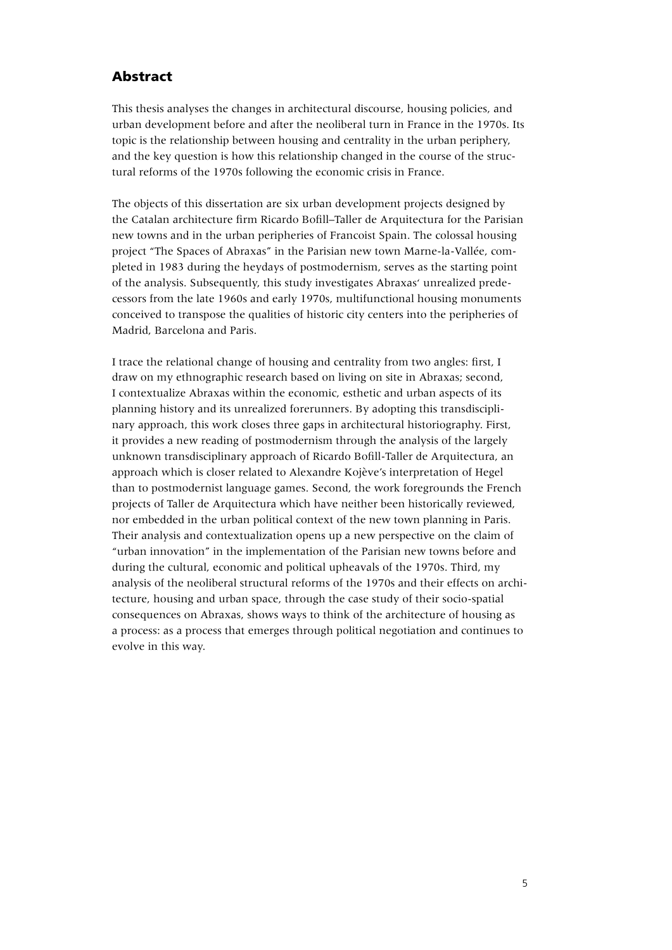### Abstract

This thesis analyses the changes in architectural discourse, housing policies, and urban development before and after the neoliberal turn in France in the 1970s. Its topic is the relationship between housing and centrality in the urban periphery, and the key question is how this relationship changed in the course of the structural reforms of the 1970s following the economic crisis in France.

The objects of this dissertation are six urban development projects designed by the Catalan architecture firm Ricardo Bofill–Taller de Arquitectura for the Parisian new towns and in the urban peripheries of Francoist Spain. The colossal housing project "The Spaces of Abraxas" in the Parisian new town Marne-la-Vallée, completed in 1983 during the heydays of postmodernism, serves as the starting point of the analysis. Subsequently, this study investigates Abraxas' unrealized predecessors from the late 1960s and early 1970s, multifunctional housing monuments conceived to transpose the qualities of historic city centers into the peripheries of Madrid, Barcelona and Paris.

I trace the relational change of housing and centrality from two angles: first, I draw on my ethnographic research based on living on site in Abraxas; second, I contextualize Abraxas within the economic, esthetic and urban aspects of its planning history and its unrealized forerunners. By adopting this transdisciplinary approach, this work closes three gaps in architectural historiography. First, it provides a new reading of postmodernism through the analysis of the largely unknown transdisciplinary approach of Ricardo Bofill-Taller de Arquitectura, an approach which is closer related to Alexandre Kojève's interpretation of Hegel than to postmodernist language games. Second, the work foregrounds the French projects of Taller de Arquitectura which have neither been historically reviewed, nor embedded in the urban political context of the new town planning in Paris. Their analysis and contextualization opens up a new perspective on the claim of "urban innovation" in the implementation of the Parisian new towns before and during the cultural, economic and political upheavals of the 1970s. Third, my analysis of the neoliberal structural reforms of the 1970s and their effects on architecture, housing and urban space, through the case study of their socio-spatial consequences on Abraxas, shows ways to think of the architecture of housing as a process: as a process that emerges through political negotiation and continues to evolve in this way.